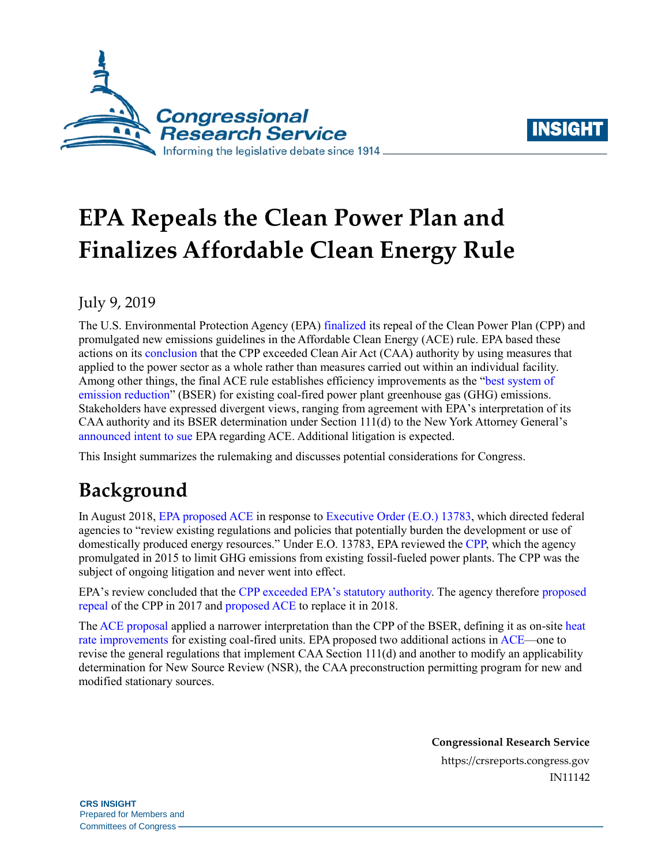



# **EPA Repeals the Clean Power Plan and Finalizes Affordable Clean Energy Rule**

#### July 9, 2019

The U.S. Environmental Protection Agency (EPA) [finalized](https://www.epa.gov/stationary-sources-air-pollution/affordable-clean-energy-rule) its repeal of the Clean Power Plan (CPP) and promulgated new emissions guidelines in the Affordable Clean Energy (ACE) rule. EPA based these actions on its [conclusion](https://www.govinfo.gov/content/pkg/FR-2019-07-08/pdf/2019-13507.pdf) that the CPP exceeded Clean Air Act (CAA) authority by using measures that applied to the power sector as a whole rather than measures carried out within an individual facility. Among other things, the final ACE rule establishes efficiency improvements as the ["best system of](https://uscode.house.gov/view.xhtml?req=(title:42%20section:7411%20edition:prelim)%20OR%20(granuleid:USC-prelim-title42-section7411)&f=treesort&edition=prelim&num=0&jumpTo=true)  [emission reduction"](https://uscode.house.gov/view.xhtml?req=(title:42%20section:7411%20edition:prelim)%20OR%20(granuleid:USC-prelim-title42-section7411)&f=treesort&edition=prelim&num=0&jumpTo=true) (BSER) for existing coal-fired power plant greenhouse gas (GHG) emissions. Stakeholders have expressed divergent views, ranging from agreement with EPA's interpretation of its CAA authority and its BSER determination under Section 111(d) to the New York Attorney General's [announced intent to sue](https://ag.ny.gov/press-release/statement-attorney-general-james-trump-epas-dirty-power-rule) EPA regarding ACE. Additional litigation is expected.

This Insight summarizes the rulemaking and discusses potential considerations for Congress.

## **Background**

In August 2018, [EPA proposed ACE](https://crsreports.congress.gov/product/pdf/R/R45393) in response to [Executive Order](https://www.federalregister.gov/documents/2017/03/31/2017-06576/promoting-energy-independence-and-economic-growth) (E.O.) 13783, which directed federal agencies to "review existing regulations and policies that potentially burden the development or use of domestically produced energy resources." Under E.O. 13783, EPA reviewed the [CPP,](https://www.federalregister.gov/documents/2015/10/23/2015-22842/carbon-pollution-emission-guidelines-for-existing-stationary-sources-electric-utility-generating) which the agency promulgated in 2015 to limit GHG emissions from existing fossil-fueled power plants. The CPP was the subject of ongoing litigation and never went into effect.

EPA's review concluded that the [CPP exceeded EPA's statutory authority.](https://crsreports.congress.gov/product/pdf/LSB/LSB10016) The agency therefore [proposed](https://www.federalregister.gov/documents/2017/10/16/2017-22349/repeal-of-carbon-pollution-emission-guidelines-for-existing-stationary-sources-electric-utility)  [repeal](https://www.federalregister.gov/documents/2017/10/16/2017-22349/repeal-of-carbon-pollution-emission-guidelines-for-existing-stationary-sources-electric-utility) of the CPP in 2017 and [proposed ACE](https://www.federalregister.gov/documents/2018/08/31/2018-18755/emission-guidelines-for-greenhouse-gas-emissions-from-existing-electric-utility-generating-units) to replace it in 2018.

Th[e ACE proposal](https://www.federalregister.gov/documents/2018/08/31/2018-18755/emission-guidelines-for-greenhouse-gas-emissions-from-existing-electric-utility-generating-units) applied a narrower interpretation than the CPP of the BSER, defining it as on-sit[e heat](https://crsreports.congress.gov/product/pdf/R/R43343)  [rate improvements](https://crsreports.congress.gov/product/pdf/R/R43343) for existing coal-fired units. EPA proposed two additional actions i[n ACE—](https://www.federalregister.gov/documents/2018/08/31/2018-18755/emission-guidelines-for-greenhouse-gas-emissions-from-existing-electric-utility-generating-units)one to revise the general regulations that implement CAA Section 111(d) and another to modify an applicability determination for New Source Review (NSR), the CAA preconstruction permitting program for new and modified stationary sources.

> **Congressional Research Service** https://crsreports.congress.gov IN11142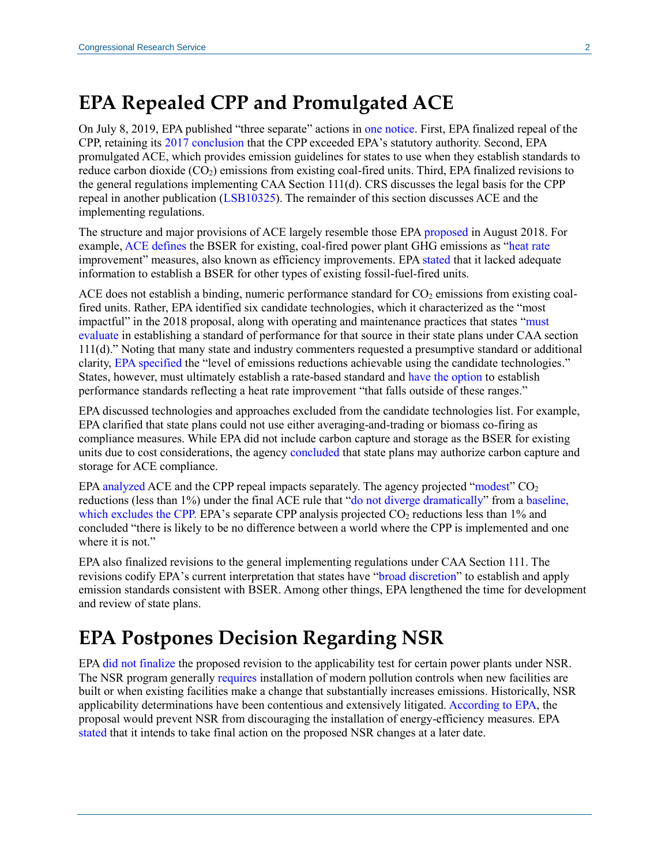### **EPA Repealed CPP and Promulgated ACE**

On July 8, 2019, EPA published "three separate" actions i[n one notice.](https://www.govinfo.gov/content/pkg/FR-2019-07-08/pdf/2019-13507.pdf) First, EPA finalized repeal of the CPP, retaining its [2017 conclusion](https://www.federalregister.gov/documents/2017/10/16/2017-22349/repeal-of-carbon-pollution-emission-guidelines-for-existing-stationary-sources-electric-utility) that the CPP exceeded EPA's statutory authority. Second, EPA promulgated ACE, which provides emission guidelines for states to use when they establish standards to reduce carbon dioxide  $(CO_2)$  emissions from existing coal-fired units. Third, EPA finalized revisions to the general regulations implementing CAA Section 111(d). CRS discusses the legal basis for the CPP repeal in another publication [\(LSB10325\)](https://crsreports.congress.gov/product/pdf/LSB/LSB10325). The remainder of this section discusses ACE and the implementing regulations.

The structure and major provisions of ACE largely resemble those EP[A proposed](https://www.federalregister.gov/documents/2018/08/31/2018-18755/emission-guidelines-for-greenhouse-gas-emissions-from-existing-electric-utility-generating-units) in August 2018. For example[, ACE defines](https://www.govinfo.gov/content/pkg/FR-2019-07-08/pdf/2019-13507.pdf) the BSER for existing, coal-fired power plant GHG emissions as ["heat rate](https://www.eia.gov/tools/faqs/faq.php?id=107&t=3) improvement" measures, also known as efficiency improvements. EP[A stated](https://www.govinfo.gov/content/pkg/FR-2019-07-08/pdf/2019-13507.pdf) that it lacked adequate information to establish a BSER for other types of existing fossil-fuel-fired units.

ACE does not establish a binding, numeric performance standard for  $CO<sub>2</sub>$  emissions from existing coalfired units. Rather, EPA identified six candidate technologies, which it characterized as the "most impactful" in the 2018 proposal, along with operating and maintenance practices that states ["must](https://www.govinfo.gov/content/pkg/FR-2019-07-08/pdf/2019-13507.pdf)  [evaluate](https://www.govinfo.gov/content/pkg/FR-2019-07-08/pdf/2019-13507.pdf) in establishing a standard of performance for that source in their state plans under CAA section 111(d)." Noting that many state and industry commenters requested a presumptive standard or additional clarity, [EPA specified](https://www.govinfo.gov/content/pkg/FR-2019-07-08/pdf/2019-13507.pdf) the "level of emissions reductions achievable using the candidate technologies." States, however, must ultimately establish a rate-based standard and [have the option](https://www.govinfo.gov/content/pkg/FR-2019-07-08/pdf/2019-13507.pdf) to establish performance standards reflecting a heat rate improvement "that falls outside of these ranges."

EPA discussed technologies and approaches excluded from the candidate technologies list. For example, EPA clarified that state plans could not use either averaging-and-trading or biomass co-firing as compliance measures. While EPA did not include carbon capture and storage as the BSER for existing units due to cost considerations, the agenc[y concluded](https://www.govinfo.gov/content/pkg/FR-2019-07-08/pdf/2019-13507.pdf) that state plans may authorize carbon capture and storage for ACE compliance.

EPA [analyzed](https://www.epa.gov/sites/production/files/2019-06/documents/utilities_ria_final_cpp_repeal_and_ace_2019-06.pdf) ACE and the CPP repeal impacts separately. The agency projected ["modest"](https://www.govinfo.gov/content/pkg/FR-2019-07-08/pdf/2019-13507.pdf)  $CO<sub>2</sub>$ reductions (less than 1%) under the final ACE rule that ["do not diverge dramatically"](https://www.govinfo.gov/content/pkg/FR-2019-07-08/pdf/2019-13507.pdf) from [a baseline,](https://www.epa.gov/sites/production/files/2019-06/documents/utilities_ria_final_cpp_repeal_and_ace_2019-06.pdf)  [which excludes](https://www.epa.gov/sites/production/files/2019-06/documents/utilities_ria_final_cpp_repeal_and_ace_2019-06.pdf) the CPP. EPA's separate CPP analysis projected  $CO<sub>2</sub>$  reductions less than 1% and concluded "there is likely to be no difference between a world where the CPP is implemented and one where it is not."

EPA also finalized revisions to the general implementing regulations under CAA Section 111. The revisions codify EPA's current interpretation that states have ["broad discretion"](https://www.govinfo.gov/content/pkg/FR-2019-07-08/pdf/2019-13507.pdf) to establish and apply emission standards consistent with BSER. Among other things, EPA lengthened the time for development and review of state plans.

### **EPA Postpones Decision Regarding NSR**

EPA [did not finalize](https://www.govinfo.gov/content/pkg/FR-2019-07-08/pdf/2019-13507.pdf) the proposed revision to the applicability test for certain power plants under NSR. The NSR program generally [requires](https://crsreports.congress.gov/product/pdf/R/R45393#_Toc528923623) installation of modern pollution controls when new facilities are built or when existing facilities make a change that substantially increases emissions. Historically, NSR applicability determinations have been contentious and extensively litigated. [According to EPA,](https://www.epa.gov/sites/production/files/2018-08/documents/ace_nsr.pdf) the proposal would prevent NSR from discouraging the installation of energy-efficiency measures. EPA [stated](https://www.govinfo.gov/content/pkg/FR-2019-07-08/pdf/2019-13507.pdf) that it intends to take final action on the proposed NSR changes at a later date.